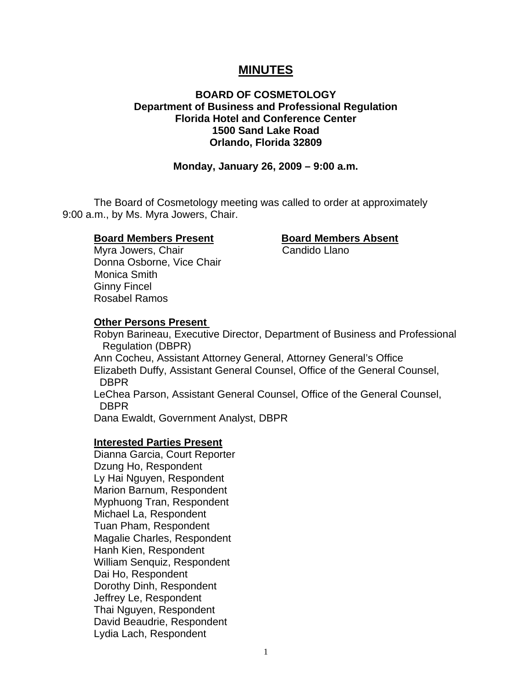# **MINUTES**

## **BOARD OF COSMETOLOGY Department of Business and Professional Regulation Florida Hotel and Conference Center 1500 Sand Lake Road Orlando, Florida 32809**

## **Monday, January 26, 2009 – 9:00 a.m.**

 The Board of Cosmetology meeting was called to order at approximately 9:00 a.m., by Ms. Myra Jowers, Chair.

## **Board Members Present Board Members Absent**

Myra Jowers, Chair **Candido Llano**  Donna Osborne, Vice Chair Monica Smith Ginny Fincel Rosabel Ramos

## **Other Persons Present**

 Robyn Barineau, Executive Director, Department of Business and Professional Regulation (DBPR) Ann Cocheu, Assistant Attorney General, Attorney General's Office Elizabeth Duffy, Assistant General Counsel, Office of the General Counsel, DBPR

 LeChea Parson, Assistant General Counsel, Office of the General Counsel, DBPR

Dana Ewaldt, Government Analyst, DBPR

#### **Interested Parties Present**

Dianna Garcia, Court Reporter Dzung Ho, Respondent Ly Hai Nguyen, Respondent Marion Barnum, Respondent Myphuong Tran, Respondent Michael La, Respondent Tuan Pham, Respondent Magalie Charles, Respondent Hanh Kien, Respondent William Senquiz, Respondent Dai Ho, Respondent Dorothy Dinh, Respondent Jeffrey Le, Respondent Thai Nguyen, Respondent David Beaudrie, Respondent Lydia Lach, Respondent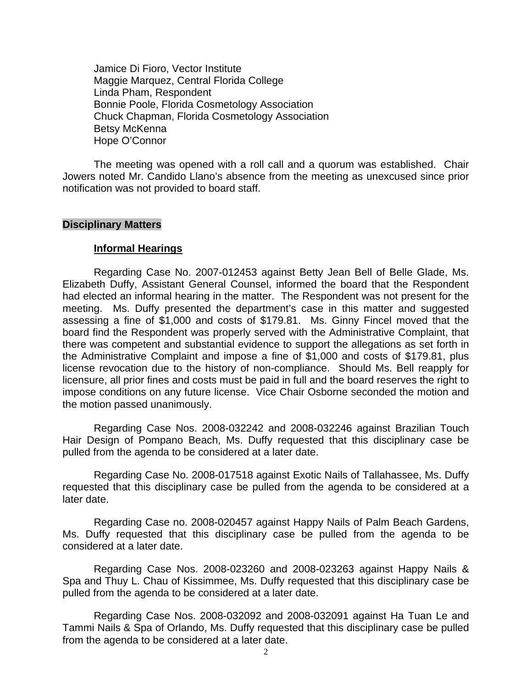Jamice Di Fioro, Vector Institute Maggie Marquez, Central Florida College Linda Pham, Respondent Bonnie Poole, Florida Cosmetology Association Chuck Chapman, Florida Cosmetology Association Betsy McKenna Hope O'Connor

 The meeting was opened with a roll call and a quorum was established. Chair Jowers noted Mr. Candido Llano's absence from the meeting as unexcused since prior notification was not provided to board staff.

#### **Disciplinary Matters**

#### **Informal Hearings**

 Regarding Case No. 2007-012453 against Betty Jean Bell of Belle Glade, Ms. Elizabeth Duffy, Assistant General Counsel, informed the board that the Respondent had elected an informal hearing in the matter. The Respondent was not present for the meeting. Ms. Duffy presented the department's case in this matter and suggested assessing a fine of \$1,000 and costs of \$179.81. Ms. Ginny Fincel moved that the board find the Respondent was properly served with the Administrative Complaint, that there was competent and substantial evidence to support the allegations as set forth in the Administrative Complaint and impose a fine of \$1,000 and costs of \$179.81, plus license revocation due to the history of non-compliance. Should Ms. Bell reapply for licensure, all prior fines and costs must be paid in full and the board reserves the right to impose conditions on any future license. Vice Chair Osborne seconded the motion and the motion passed unanimously.

 Regarding Case Nos. 2008-032242 and 2008-032246 against Brazilian Touch Hair Design of Pompano Beach, Ms. Duffy requested that this disciplinary case be pulled from the agenda to be considered at a later date.

 Regarding Case No. 2008-017518 against Exotic Nails of Tallahassee, Ms. Duffy requested that this disciplinary case be pulled from the agenda to be considered at a later date.

Regarding Case no. 2008-020457 against Happy Nails of Palm Beach Gardens, Ms. Duffy requested that this disciplinary case be pulled from the agenda to be considered at a later date.

 Regarding Case Nos. 2008-023260 and 2008-023263 against Happy Nails & Spa and Thuy L. Chau of Kissimmee, Ms. Duffy requested that this disciplinary case be pulled from the agenda to be considered at a later date.

Regarding Case Nos. 2008-032092 and 2008-032091 against Ha Tuan Le and Tammi Nails & Spa of Orlando, Ms. Duffy requested that this disciplinary case be pulled from the agenda to be considered at a later date.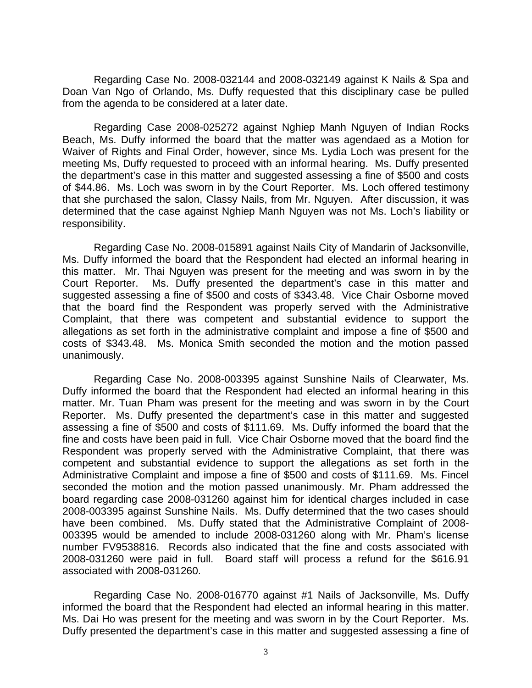Regarding Case No. 2008-032144 and 2008-032149 against K Nails & Spa and Doan Van Ngo of Orlando, Ms. Duffy requested that this disciplinary case be pulled from the agenda to be considered at a later date.

 Regarding Case 2008-025272 against Nghiep Manh Nguyen of Indian Rocks Beach, Ms. Duffy informed the board that the matter was agendaed as a Motion for Waiver of Rights and Final Order, however, since Ms. Lydia Loch was present for the meeting Ms, Duffy requested to proceed with an informal hearing. Ms. Duffy presented the department's case in this matter and suggested assessing a fine of \$500 and costs of \$44.86. Ms. Loch was sworn in by the Court Reporter. Ms. Loch offered testimony that she purchased the salon, Classy Nails, from Mr. Nguyen. After discussion, it was determined that the case against Nghiep Manh Nguyen was not Ms. Loch's liability or responsibility.

 Regarding Case No. 2008-015891 against Nails City of Mandarin of Jacksonville, Ms. Duffy informed the board that the Respondent had elected an informal hearing in this matter. Mr. Thai Nguyen was present for the meeting and was sworn in by the Court Reporter. Ms. Duffy presented the department's case in this matter and suggested assessing a fine of \$500 and costs of \$343.48. Vice Chair Osborne moved that the board find the Respondent was properly served with the Administrative Complaint, that there was competent and substantial evidence to support the allegations as set forth in the administrative complaint and impose a fine of \$500 and costs of \$343.48. Ms. Monica Smith seconded the motion and the motion passed unanimously.

 Regarding Case No. 2008-003395 against Sunshine Nails of Clearwater, Ms. Duffy informed the board that the Respondent had elected an informal hearing in this matter. Mr. Tuan Pham was present for the meeting and was sworn in by the Court Reporter. Ms. Duffy presented the department's case in this matter and suggested assessing a fine of \$500 and costs of \$111.69. Ms. Duffy informed the board that the fine and costs have been paid in full. Vice Chair Osborne moved that the board find the Respondent was properly served with the Administrative Complaint, that there was competent and substantial evidence to support the allegations as set forth in the Administrative Complaint and impose a fine of \$500 and costs of \$111.69. Ms. Fincel seconded the motion and the motion passed unanimously. Mr. Pham addressed the board regarding case 2008-031260 against him for identical charges included in case 2008-003395 against Sunshine Nails. Ms. Duffy determined that the two cases should have been combined. Ms. Duffy stated that the Administrative Complaint of 2008- 003395 would be amended to include 2008-031260 along with Mr. Pham's license number FV9538816. Records also indicated that the fine and costs associated with 2008-031260 were paid in full. Board staff will process a refund for the \$616.91 associated with 2008-031260.

 Regarding Case No. 2008-016770 against #1 Nails of Jacksonville, Ms. Duffy informed the board that the Respondent had elected an informal hearing in this matter. Ms. Dai Ho was present for the meeting and was sworn in by the Court Reporter. Ms. Duffy presented the department's case in this matter and suggested assessing a fine of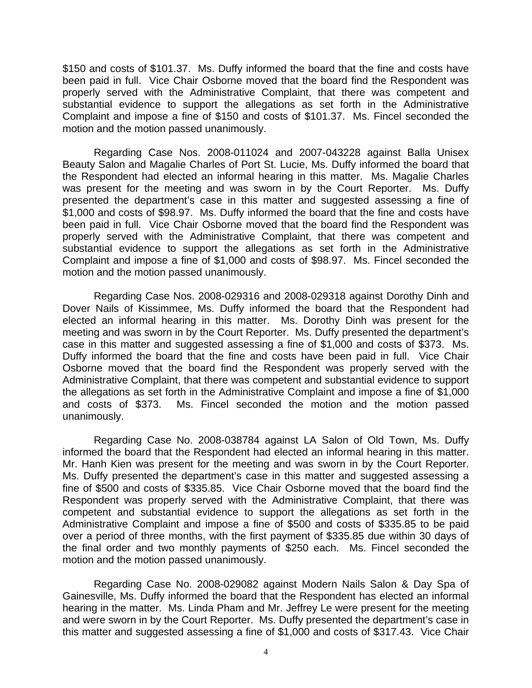\$150 and costs of \$101.37. Ms. Duffy informed the board that the fine and costs have been paid in full. Vice Chair Osborne moved that the board find the Respondent was properly served with the Administrative Complaint, that there was competent and substantial evidence to support the allegations as set forth in the Administrative Complaint and impose a fine of \$150 and costs of \$101.37. Ms. Fincel seconded the motion and the motion passed unanimously.

 Regarding Case Nos. 2008-011024 and 2007-043228 against Balla Unisex Beauty Salon and Magalie Charles of Port St. Lucie, Ms. Duffy informed the board that the Respondent had elected an informal hearing in this matter. Ms. Magalie Charles was present for the meeting and was sworn in by the Court Reporter. Ms. Duffy presented the department's case in this matter and suggested assessing a fine of \$1,000 and costs of \$98.97. Ms. Duffy informed the board that the fine and costs have been paid in full. Vice Chair Osborne moved that the board find the Respondent was properly served with the Administrative Complaint, that there was competent and substantial evidence to support the allegations as set forth in the Administrative Complaint and impose a fine of \$1,000 and costs of \$98.97. Ms. Fincel seconded the motion and the motion passed unanimously.

 Regarding Case Nos. 2008-029316 and 2008-029318 against Dorothy Dinh and Dover Nails of Kissimmee, Ms. Duffy informed the board that the Respondent had elected an informal hearing in this matter. Ms. Dorothy Dinh was present for the meeting and was sworn in by the Court Reporter. Ms. Duffy presented the department's case in this matter and suggested assessing a fine of \$1,000 and costs of \$373. Ms. Duffy informed the board that the fine and costs have been paid in full. Vice Chair Osborne moved that the board find the Respondent was properly served with the Administrative Complaint, that there was competent and substantial evidence to support the allegations as set forth in the Administrative Complaint and impose a fine of \$1,000 and costs of \$373. Ms. Fincel seconded the motion and the motion passed unanimously.

 Regarding Case No. 2008-038784 against LA Salon of Old Town, Ms. Duffy informed the board that the Respondent had elected an informal hearing in this matter. Mr. Hanh Kien was present for the meeting and was sworn in by the Court Reporter. Ms. Duffy presented the department's case in this matter and suggested assessing a fine of \$500 and costs of \$335.85. Vice Chair Osborne moved that the board find the Respondent was properly served with the Administrative Complaint, that there was competent and substantial evidence to support the allegations as set forth in the Administrative Complaint and impose a fine of \$500 and costs of \$335.85 to be paid over a period of three months, with the first payment of \$335.85 due within 30 days of the final order and two monthly payments of \$250 each. Ms. Fincel seconded the motion and the motion passed unanimously.

 Regarding Case No. 2008-029082 against Modern Nails Salon & Day Spa of Gainesville, Ms. Duffy informed the board that the Respondent has elected an informal hearing in the matter. Ms. Linda Pham and Mr. Jeffrey Le were present for the meeting and were sworn in by the Court Reporter. Ms. Duffy presented the department's case in this matter and suggested assessing a fine of \$1,000 and costs of \$317.43. Vice Chair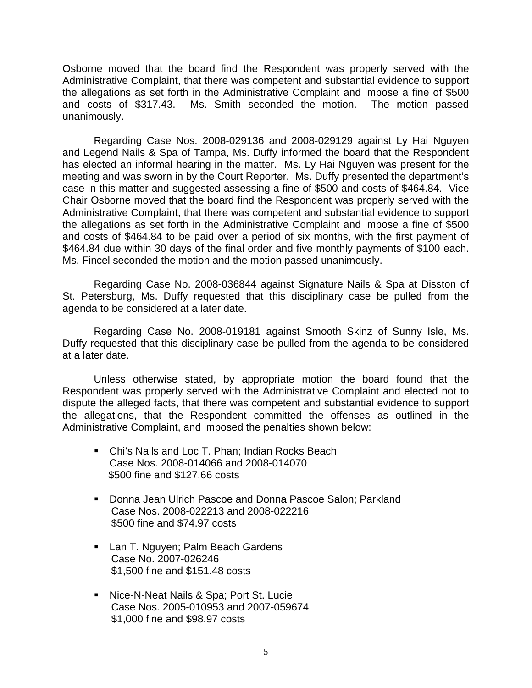Osborne moved that the board find the Respondent was properly served with the Administrative Complaint, that there was competent and substantial evidence to support the allegations as set forth in the Administrative Complaint and impose a fine of \$500 and costs of \$317.43. Ms. Smith seconded the motion. The motion passed unanimously.

 Regarding Case Nos. 2008-029136 and 2008-029129 against Ly Hai Nguyen and Legend Nails & Spa of Tampa, Ms. Duffy informed the board that the Respondent has elected an informal hearing in the matter. Ms. Ly Hai Nguyen was present for the meeting and was sworn in by the Court Reporter. Ms. Duffy presented the department's case in this matter and suggested assessing a fine of \$500 and costs of \$464.84. Vice Chair Osborne moved that the board find the Respondent was properly served with the Administrative Complaint, that there was competent and substantial evidence to support the allegations as set forth in the Administrative Complaint and impose a fine of \$500 and costs of \$464.84 to be paid over a period of six months, with the first payment of \$464.84 due within 30 days of the final order and five monthly payments of \$100 each. Ms. Fincel seconded the motion and the motion passed unanimously.

 Regarding Case No. 2008-036844 against Signature Nails & Spa at Disston of St. Petersburg, Ms. Duffy requested that this disciplinary case be pulled from the agenda to be considered at a later date.

 Regarding Case No. 2008-019181 against Smooth Skinz of Sunny Isle, Ms. Duffy requested that this disciplinary case be pulled from the agenda to be considered at a later date.

 Unless otherwise stated, by appropriate motion the board found that the Respondent was properly served with the Administrative Complaint and elected not to dispute the alleged facts, that there was competent and substantial evidence to support the allegations, that the Respondent committed the offenses as outlined in the Administrative Complaint, and imposed the penalties shown below:

- Chi's Nails and Loc T. Phan: Indian Rocks Beach Case Nos. 2008-014066 and 2008-014070 \$500 fine and \$127.66 costs
- **Donna Jean Ulrich Pascoe and Donna Pascoe Salon; Parkland**  Case Nos. 2008-022213 and 2008-022216 \$500 fine and \$74.97 costs
- **Lan T. Nguyen; Palm Beach Gardens**  Case No. 2007-026246 \$1,500 fine and \$151.48 costs
- **Nice-N-Neat Nails & Spa; Port St. Lucie**  Case Nos. 2005-010953 and 2007-059674 \$1,000 fine and \$98.97 costs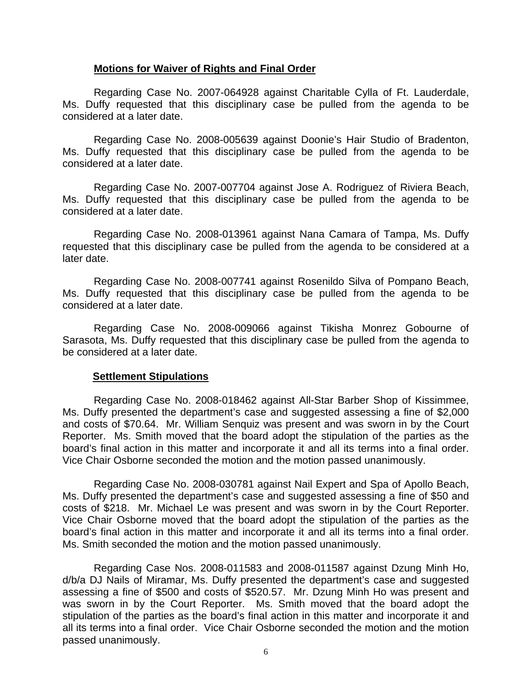## **Motions for Waiver of Rights and Final Order**

 Regarding Case No. 2007-064928 against Charitable Cylla of Ft. Lauderdale, Ms. Duffy requested that this disciplinary case be pulled from the agenda to be considered at a later date.

Regarding Case No. 2008-005639 against Doonie's Hair Studio of Bradenton, Ms. Duffy requested that this disciplinary case be pulled from the agenda to be considered at a later date.

 Regarding Case No. 2007-007704 against Jose A. Rodriguez of Riviera Beach, Ms. Duffy requested that this disciplinary case be pulled from the agenda to be considered at a later date.

 Regarding Case No. 2008-013961 against Nana Camara of Tampa, Ms. Duffy requested that this disciplinary case be pulled from the agenda to be considered at a later date.

Regarding Case No. 2008-007741 against Rosenildo Silva of Pompano Beach, Ms. Duffy requested that this disciplinary case be pulled from the agenda to be considered at a later date.

Regarding Case No. 2008-009066 against Tikisha Monrez Gobourne of Sarasota, Ms. Duffy requested that this disciplinary case be pulled from the agenda to be considered at a later date.

## **Settlement Stipulations**

 Regarding Case No. 2008-018462 against All-Star Barber Shop of Kissimmee, Ms. Duffy presented the department's case and suggested assessing a fine of \$2,000 and costs of \$70.64. Mr. William Senquiz was present and was sworn in by the Court Reporter. Ms. Smith moved that the board adopt the stipulation of the parties as the board's final action in this matter and incorporate it and all its terms into a final order. Vice Chair Osborne seconded the motion and the motion passed unanimously.

 Regarding Case No. 2008-030781 against Nail Expert and Spa of Apollo Beach, Ms. Duffy presented the department's case and suggested assessing a fine of \$50 and costs of \$218. Mr. Michael Le was present and was sworn in by the Court Reporter. Vice Chair Osborne moved that the board adopt the stipulation of the parties as the board's final action in this matter and incorporate it and all its terms into a final order. Ms. Smith seconded the motion and the motion passed unanimously.

 Regarding Case Nos. 2008-011583 and 2008-011587 against Dzung Minh Ho, d/b/a DJ Nails of Miramar, Ms. Duffy presented the department's case and suggested assessing a fine of \$500 and costs of \$520.57. Mr. Dzung Minh Ho was present and was sworn in by the Court Reporter. Ms. Smith moved that the board adopt the stipulation of the parties as the board's final action in this matter and incorporate it and all its terms into a final order. Vice Chair Osborne seconded the motion and the motion passed unanimously.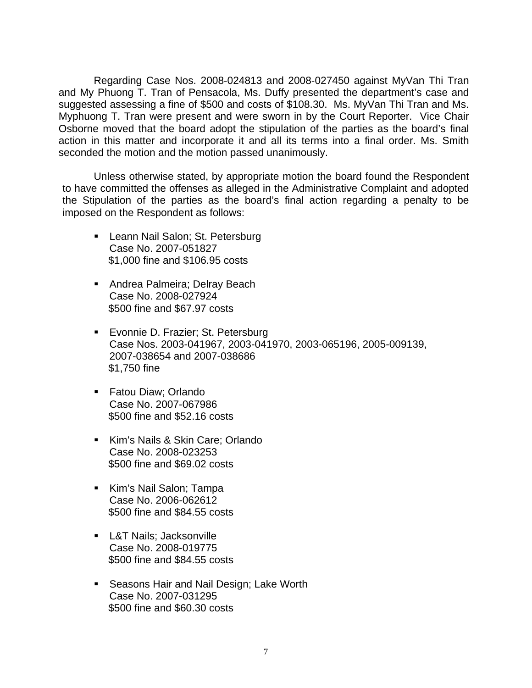Regarding Case Nos. 2008-024813 and 2008-027450 against MyVan Thi Tran and My Phuong T. Tran of Pensacola, Ms. Duffy presented the department's case and suggested assessing a fine of \$500 and costs of \$108.30. Ms. MyVan Thi Tran and Ms. Myphuong T. Tran were present and were sworn in by the Court Reporter. Vice Chair Osborne moved that the board adopt the stipulation of the parties as the board's final action in this matter and incorporate it and all its terms into a final order. Ms. Smith seconded the motion and the motion passed unanimously.

 Unless otherwise stated, by appropriate motion the board found the Respondent to have committed the offenses as alleged in the Administrative Complaint and adopted the Stipulation of the parties as the board's final action regarding a penalty to be imposed on the Respondent as follows:

- **Leann Nail Salon; St. Petersburg** Case No. 2007-051827 \$1,000 fine and \$106.95 costs
- **Andrea Palmeira; Delray Beach** Case No. 2008-027924 \$500 fine and \$67.97 costs
- **Evonnie D. Frazier; St. Petersburg** Case Nos. 2003-041967, 2003-041970, 2003-065196, 2005-009139, 2007-038654 and 2007-038686 \$1,750 fine
- Fatou Diaw; Orlando Case No. 2007-067986 \$500 fine and \$52.16 costs
- Kim's Nails & Skin Care; Orlando Case No. 2008-023253 \$500 fine and \$69.02 costs
- Kim's Nail Salon; Tampa Case No. 2006-062612 \$500 fine and \$84.55 costs
- **L&T Nails; Jacksonville** Case No. 2008-019775 \$500 fine and \$84.55 costs
- **Seasons Hair and Nail Design; Lake Worth** Case No. 2007-031295 \$500 fine and \$60.30 costs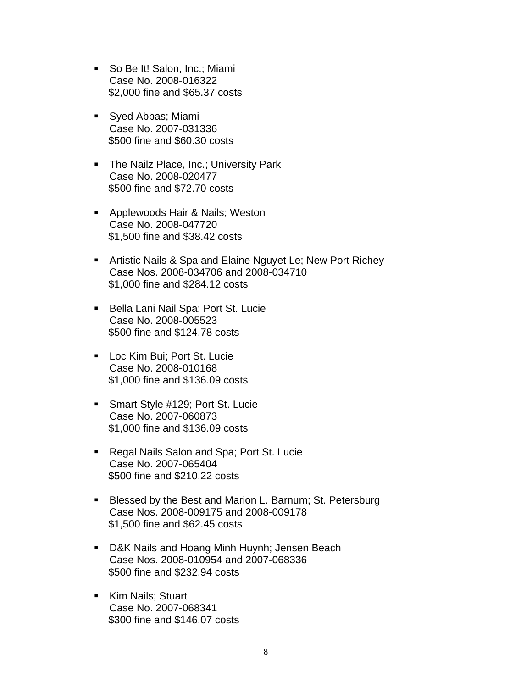- So Be It! Salon, Inc.; Miami Case No. 2008-016322 \$2,000 fine and \$65.37 costs
- Syed Abbas; Miami Case No. 2007-031336 \$500 fine and \$60.30 costs
- **The Nailz Place, Inc.; University Park** Case No. 2008-020477 \$500 fine and \$72.70 costs
- **-** Applewoods Hair & Nails; Weston Case No. 2008-047720 \$1,500 fine and \$38.42 costs
- **EXTER Artistic Nails & Spa and Elaine Nguyet Le; New Port Richey** Case Nos. 2008-034706 and 2008-034710 \$1,000 fine and \$284.12 costs
- **Bella Lani Nail Spa; Port St. Lucie** Case No. 2008-005523 \$500 fine and \$124.78 costs
- **Loc Kim Bui; Port St. Lucie** Case No. 2008-010168 \$1,000 fine and \$136.09 costs
- **Smart Style #129; Port St. Lucie** Case No. 2007-060873 \$1,000 fine and \$136.09 costs
- Regal Nails Salon and Spa; Port St. Lucie Case No. 2007-065404 \$500 fine and \$210.22 costs
- **Blessed by the Best and Marion L. Barnum; St. Petersburg** Case Nos. 2008-009175 and 2008-009178 \$1,500 fine and \$62.45 costs
- D&K Nails and Hoang Minh Huynh; Jensen Beach Case Nos. 2008-010954 and 2007-068336 \$500 fine and \$232.94 costs
- Kim Nails; Stuart Case No. 2007-068341 \$300 fine and \$146.07 costs